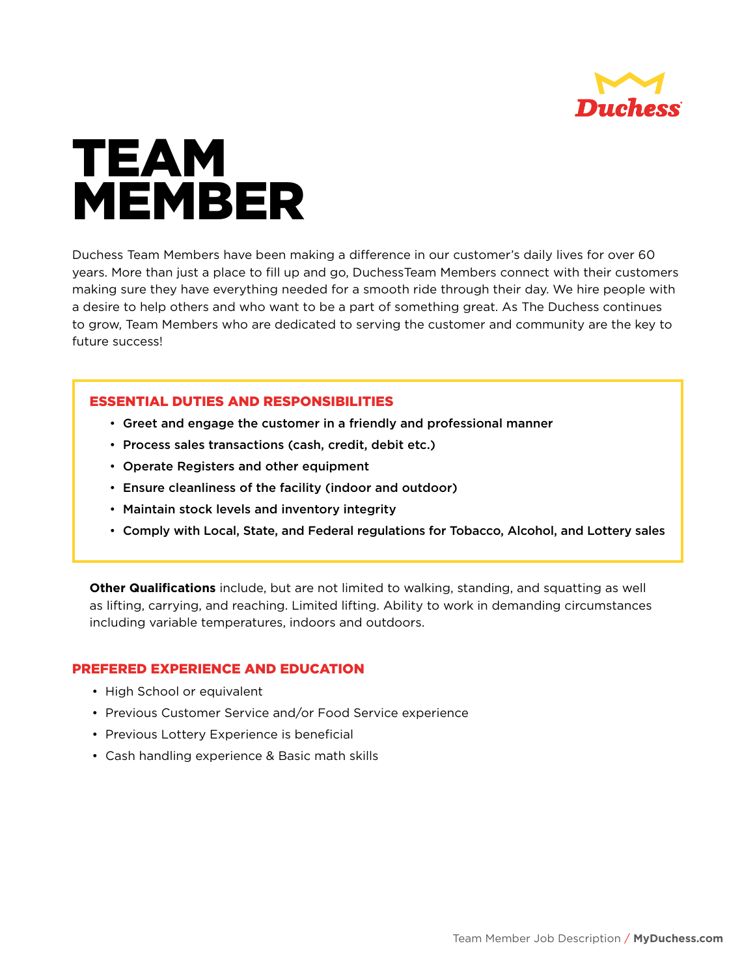

## TEAM MEMBER

Duchess Team Members have been making a difference in our customer's daily lives for over 60 years. More than just a place to fill up and go, DuchessTeam Members connect with their customers making sure they have everything needed for a smooth ride through their day. We hire people with a desire to help others and who want to be a part of something great. As The Duchess continues to grow, Team Members who are dedicated to serving the customer and community are the key to future success!

## ESSENTIAL DUTIES AND RESPONSIBILITIES

- Greet and engage the customer in a friendly and professional manner
- Process sales transactions (cash, credit, debit etc.)
- Operate Registers and other equipment
- Ensure cleanliness of the facility (indoor and outdoor)
- Maintain stock levels and inventory integrity
- Comply with Local, State, and Federal regulations for Tobacco, Alcohol, and Lottery sales

**Other Qualifications** include, but are not limited to walking, standing, and squatting as well as lifting, carrying, and reaching. Limited lifting. Ability to work in demanding circumstances including variable temperatures, indoors and outdoors.

## PREFERED EXPERIENCE AND EDUCATION

- High School or equivalent
- Previous Customer Service and/or Food Service experience
- Previous Lottery Experience is beneficial
- Cash handling experience & Basic math skills